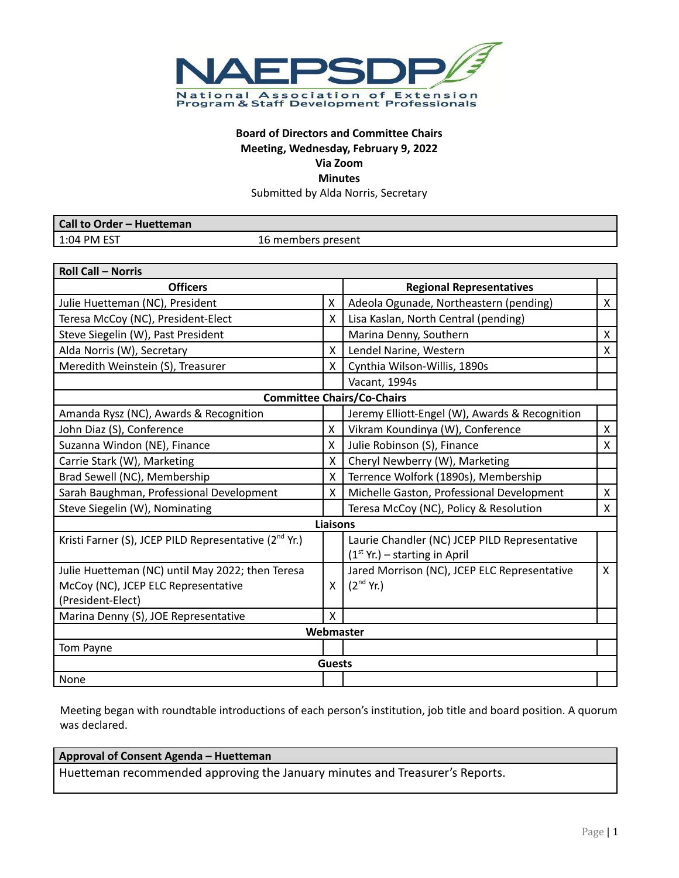

# **Board of Directors and Committee Chairs Meeting, Wednesday, February 9, 2022 Via Zoom Minutes**

Submitted by Alda Norris, Secretary

| Call to Order - Huetteman |                    |
|---------------------------|--------------------|
| $1:04$ PM EST             | 16 members present |

| <b>Roll Call - Norris</b>                                         |               |                                                |                |  |
|-------------------------------------------------------------------|---------------|------------------------------------------------|----------------|--|
| <b>Officers</b>                                                   |               | <b>Regional Representatives</b>                |                |  |
| Julie Huetteman (NC), President                                   | X             | Adeola Ogunade, Northeastern (pending)         | $\mathsf{X}^-$ |  |
| Teresa McCoy (NC), President-Elect                                | X             | Lisa Kaslan, North Central (pending)           |                |  |
| Steve Siegelin (W), Past President                                |               | Marina Denny, Southern                         | $\mathsf{X}$   |  |
| Alda Norris (W), Secretary                                        | X             | Lendel Narine, Western                         | X              |  |
| Meredith Weinstein (S), Treasurer                                 | X             | Cynthia Wilson-Willis, 1890s                   |                |  |
|                                                                   |               | Vacant, 1994s                                  |                |  |
|                                                                   |               | <b>Committee Chairs/Co-Chairs</b>              |                |  |
| Amanda Rysz (NC), Awards & Recognition                            |               | Jeremy Elliott-Engel (W), Awards & Recognition |                |  |
| John Diaz (S), Conference                                         | X             | Vikram Koundinya (W), Conference               | X              |  |
| Suzanna Windon (NE), Finance                                      | X.            | Julie Robinson (S), Finance                    | X              |  |
| Carrie Stark (W), Marketing                                       | X             | Cheryl Newberry (W), Marketing                 |                |  |
| Brad Sewell (NC), Membership                                      | X             | Terrence Wolfork (1890s), Membership           |                |  |
| Sarah Baughman, Professional Development                          | X             | Michelle Gaston, Professional Development      | $\mathsf{X}$   |  |
| Steve Siegelin (W), Nominating                                    |               | Teresa McCoy (NC), Policy & Resolution         | X              |  |
| <b>Liaisons</b>                                                   |               |                                                |                |  |
| Kristi Farner (S), JCEP PILD Representative (2 <sup>nd</sup> Yr.) |               | Laurie Chandler (NC) JCEP PILD Representative  |                |  |
|                                                                   |               | $(1st Yr.) - starting in April$                |                |  |
| Julie Huetteman (NC) until May 2022; then Teresa                  |               | Jared Morrison (NC), JCEP ELC Representative   | $\mathsf{X}^-$ |  |
| McCoy (NC), JCEP ELC Representative                               | X             | $(2nd$ Yr.)                                    |                |  |
| (President-Elect)                                                 |               |                                                |                |  |
| Marina Denny (S), JOE Representative                              | X             |                                                |                |  |
|                                                                   |               | Webmaster                                      |                |  |
| Tom Payne                                                         |               |                                                |                |  |
|                                                                   | <b>Guests</b> |                                                |                |  |
| None                                                              |               |                                                |                |  |

Meeting began with roundtable introductions of each person's institution, job title and board position. A quorum was declared.

# **Approval of Consent Agenda – Huetteman**

Huetteman recommended approving the January minutes and Treasurer's Reports.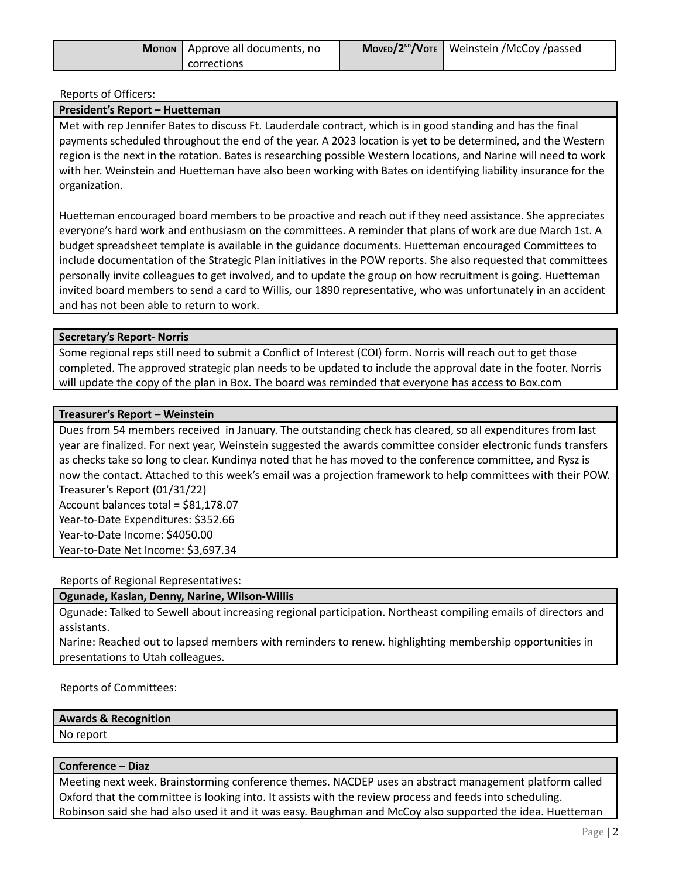| <b>Morion</b>   Approve all documents, no | $MoveD/2^{ND}/V$ OTE   Weinstein /McCoy /passed |
|-------------------------------------------|-------------------------------------------------|
| corrections                               |                                                 |

Reports of Officers:

## **President's Report – Huetteman**

Met with rep Jennifer Bates to discuss Ft. Lauderdale contract, which is in good standing and has the final payments scheduled throughout the end of the year. A 2023 location is yet to be determined, and the Western region is the next in the rotation. Bates is researching possible Western locations, and Narine will need to work with her. Weinstein and Huetteman have also been working with Bates on identifying liability insurance for the organization.

Huetteman encouraged board members to be proactive and reach out if they need assistance. She appreciates everyone's hard work and enthusiasm on the committees. A reminder that plans of work are due March 1st. A budget spreadsheet template is available in the guidance documents. Huetteman encouraged Committees to include documentation of the Strategic Plan initiatives in the POW reports. She also requested that committees personally invite colleagues to get involved, and to update the group on how recruitment is going. Huetteman invited board members to send a card to Willis, our 1890 representative, who was unfortunately in an accident and has not been able to return to work.

### **Secretary's Report- Norris**

Some regional reps still need to submit a Conflict of Interest (COI) form. Norris will reach out to get those completed. The approved strategic plan needs to be updated to include the approval date in the footer. Norris will update the copy of the plan in Box. The board was reminded that everyone has access to Box.com

### **Treasurer's Report – Weinstein**

Dues from 54 members received in January. The outstanding check has cleared, so all expenditures from last year are finalized. For next year, Weinstein suggested the awards committee consider electronic funds transfers as checks take so long to clear. Kundinya noted that he has moved to the conference committee, and Rysz is now the contact. Attached to this week's email was a projection framework to help committees with their POW. Treasurer's Report (01/31/22) Account balances total = \$81,178.07 Year-to-Date Expenditures: \$352.66 Year-to-Date Income: \$4050.00 Year-to-Date Net Income: \$3,697.34

Reports of Regional Representatives:

**Ogunade, Kaslan, Denny, Narine, Wilson-Willis**

Ogunade: Talked to Sewell about increasing regional participation. Northeast compiling emails of directors and assistants.

Narine: Reached out to lapsed members with reminders to renew. highlighting membership opportunities in presentations to Utah colleagues.

Reports of Committees:

#### **Awards & Recognition**

No report

#### **Conference – Diaz**

Meeting next week. Brainstorming conference themes. NACDEP uses an abstract management platform called Oxford that the committee is looking into. It assists with the review process and feeds into scheduling. Robinson said she had also used it and it was easy. Baughman and McCoy also supported the idea. Huetteman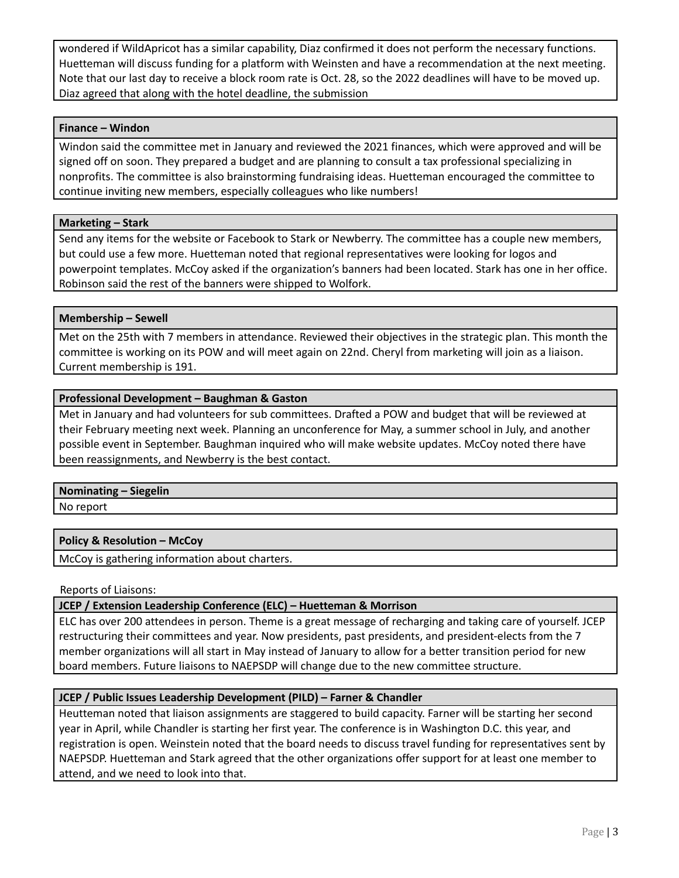wondered if WildApricot has a similar capability, Diaz confirmed it does not perform the necessary functions. Huetteman will discuss funding for a platform with Weinsten and have a recommendation at the next meeting. Note that our last day to receive a block room rate is Oct. 28, so the 2022 deadlines will have to be moved up. Diaz agreed that along with the hotel deadline, the submission

## **Finance – Windon**

Windon said the committee met in January and reviewed the 2021 finances, which were approved and will be signed off on soon. They prepared a budget and are planning to consult a tax professional specializing in nonprofits. The committee is also brainstorming fundraising ideas. Huetteman encouraged the committee to continue inviting new members, especially colleagues who like numbers!

# **Marketing – Stark**

Send any items for the website or Facebook to Stark or Newberry. The committee has a couple new members, but could use a few more. Huetteman noted that regional representatives were looking for logos and powerpoint templates. McCoy asked if the organization's banners had been located. Stark has one in her office. Robinson said the rest of the banners were shipped to Wolfork.

# **Membership – Sewell**

Met on the 25th with 7 members in attendance. Reviewed their objectives in the strategic plan. This month the committee is working on its POW and will meet again on 22nd. Cheryl from marketing will join as a liaison. Current membership is 191.

# **Professional Development – Baughman & Gaston**

Met in January and had volunteers for sub committees. Drafted a POW and budget that will be reviewed at their February meeting next week. Planning an unconference for May, a summer school in July, and another possible event in September. Baughman inquired who will make website updates. McCoy noted there have been reassignments, and Newberry is the best contact.

# **Nominating – Siegelin**

No report

# **Policy & Resolution – McCoy**

McCoy is gathering information about charters.

Reports of Liaisons:

# **JCEP / Extension Leadership Conference (ELC) – Huetteman & Morrison**

ELC has over 200 attendees in person. Theme is a great message of recharging and taking care of yourself. JCEP restructuring their committees and year. Now presidents, past presidents, and president-elects from the 7 member organizations will all start in May instead of January to allow for a better transition period for new board members. Future liaisons to NAEPSDP will change due to the new committee structure.

# **JCEP / Public Issues Leadership Development (PILD) – Farner & Chandler**

Heutteman noted that liaison assignments are staggered to build capacity. Farner will be starting her second year in April, while Chandler is starting her first year. The conference is in Washington D.C. this year, and registration is open. Weinstein noted that the board needs to discuss travel funding for representatives sent by NAEPSDP. Huetteman and Stark agreed that the other organizations offer support for at least one member to attend, and we need to look into that.